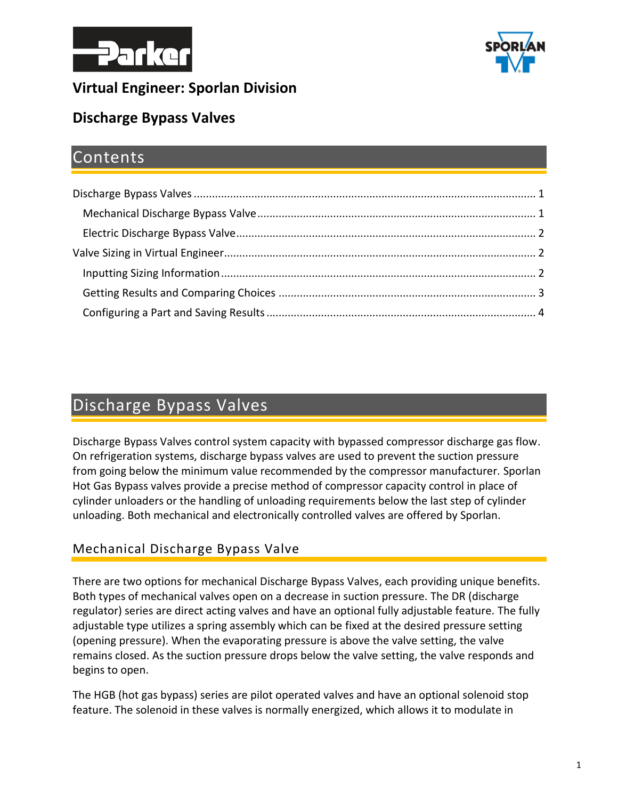



## **Virtual Engineer: Sporlan Division**

## **Discharge Bypass Valves**

## Contents

# <span id="page-0-0"></span>Discharge Bypass Valves

Discharge Bypass Valves control system capacity with bypassed compressor discharge gas flow. On refrigeration systems, discharge bypass valves are used to prevent the suction pressure from going below the minimum value recommended by the compressor manufacturer. Sporlan Hot Gas Bypass valves provide a precise method of compressor capacity control in place of cylinder unloaders or the handling of unloading requirements below the last step of cylinder unloading. Both mechanical and electronically controlled valves are offered by Sporlan.

#### <span id="page-0-1"></span>Mechanical Discharge Bypass Valve

There are two options for mechanical Discharge Bypass Valves, each providing unique benefits. Both types of mechanical valves open on a decrease in suction pressure. The DR (discharge regulator) series are direct acting valves and have an optional fully adjustable feature. The fully adjustable type utilizes a spring assembly which can be fixed at the desired pressure setting (opening pressure). When the evaporating pressure is above the valve setting, the valve remains closed. As the suction pressure drops below the valve setting, the valve responds and begins to open.

The HGB (hot gas bypass) series are pilot operated valves and have an optional solenoid stop feature. The solenoid in these valves is normally energized, which allows it to modulate in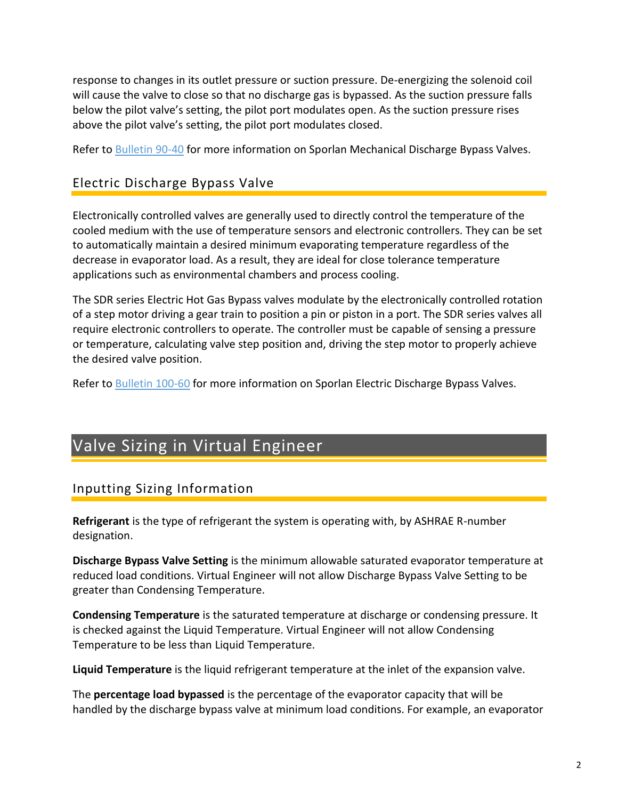response to changes in its outlet pressure or suction pressure. De-energizing the solenoid coil will cause the valve to close so that no discharge gas is bypassed. As the suction pressure falls below the pilot valve's setting, the pilot port modulates open. As the suction pressure rises above the pilot valve's setting, the pilot port modulates closed.

Refer to [Bulletin 90-40](https://www.parker.com/literature/Sporlan/Sporlan%20pdf%20files/Sporlan%20pdf%20090/90-40_032011.pdf?elqTrackId=C7363C32D8084376B5DD888370FB6F6D&elqaid=10122&elqat=2) for more information on Sporlan Mechanical Discharge Bypass Valves.

#### <span id="page-1-0"></span>Electric Discharge Bypass Valve

Electronically controlled valves are generally used to directly control the temperature of the cooled medium with the use of temperature sensors and electronic controllers. They can be set to automatically maintain a desired minimum evaporating temperature regardless of the decrease in evaporator load. As a result, they are ideal for close tolerance temperature applications such as environmental chambers and process cooling.

The SDR series Electric Hot Gas Bypass valves modulate by the electronically controlled rotation of a step motor driving a gear train to position a pin or piston in a port. The SDR series valves all require electronic controllers to operate. The controller must be capable of sensing a pressure or temperature, calculating valve step position and, driving the step motor to properly achieve the desired valve position.

Refer to [Bulletin 100-60](https://www.parker.com/Literature/Sporlan/Sporlan%20pdf%20files/Sporlan%20pdf%20100/100-60%20Electric%20Hot%20Gas%20Bypass%20Valves.pdf?elqTrackId=e9eab8cab3ee426ab7e3730aef6dfb87&elqaid=10123&elqat=2) for more information on Sporlan Electric Discharge Bypass Valves.

# <span id="page-1-1"></span>Valve Sizing in Virtual Engineer

#### <span id="page-1-2"></span>Inputting Sizing Information

**Refrigerant** is the type of refrigerant the system is operating with, by ASHRAE R-number designation.

**Discharge Bypass Valve Setting** is the minimum allowable saturated evaporator temperature at reduced load conditions. Virtual Engineer will not allow Discharge Bypass Valve Setting to be greater than Condensing Temperature.

**Condensing Temperature** is the saturated temperature at discharge or condensing pressure. It is checked against the Liquid Temperature. Virtual Engineer will not allow Condensing Temperature to be less than Liquid Temperature.

**Liquid Temperature** is the liquid refrigerant temperature at the inlet of the expansion valve.

The **percentage load bypassed** is the percentage of the evaporator capacity that will be handled by the discharge bypass valve at minimum load conditions. For example, an evaporator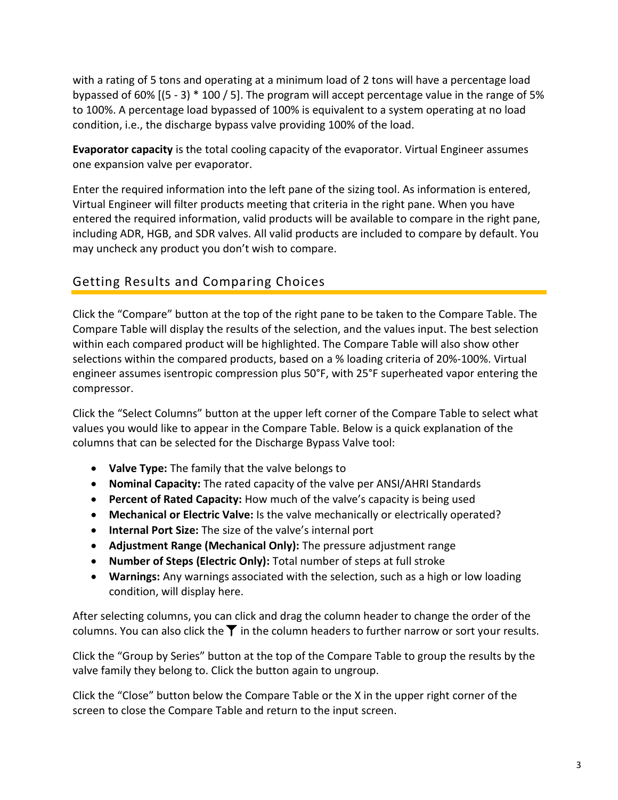with a rating of 5 tons and operating at a minimum load of 2 tons will have a percentage load bypassed of 60% [(5 - 3) \* 100 / 5]. The program will accept percentage value in the range of 5% to 100%. A percentage load bypassed of 100% is equivalent to a system operating at no load condition, i.e., the discharge bypass valve providing 100% of the load.

**Evaporator capacity** is the total cooling capacity of the evaporator. Virtual Engineer assumes one expansion valve per evaporator.

Enter the required information into the left pane of the sizing tool. As information is entered, Virtual Engineer will filter products meeting that criteria in the right pane. When you have entered the required information, valid products will be available to compare in the right pane, including ADR, HGB, and SDR valves. All valid products are included to compare by default. You may uncheck any product you don't wish to compare.

### <span id="page-2-0"></span>Getting Results and Comparing Choices

Click the "Compare" button at the top of the right pane to be taken to the Compare Table. The Compare Table will display the results of the selection, and the values input. The best selection within each compared product will be highlighted. The Compare Table will also show other selections within the compared products, based on a % loading criteria of 20%-100%. Virtual engineer assumes isentropic compression plus 50°F, with 25°F superheated vapor entering the compressor.

Click the "Select Columns" button at the upper left corner of the Compare Table to select what values you would like to appear in the Compare Table. Below is a quick explanation of the columns that can be selected for the Discharge Bypass Valve tool:

- **Valve Type:** The family that the valve belongs to
- **Nominal Capacity:** The rated capacity of the valve per ANSI/AHRI Standards
- **Percent of Rated Capacity:** How much of the valve's capacity is being used
- **Mechanical or Electric Valve:** Is the valve mechanically or electrically operated?
- **Internal Port Size:** The size of the valve's internal port
- **Adjustment Range (Mechanical Only):** The pressure adjustment range
- **Number of Steps (Electric Only):** Total number of steps at full stroke
- **Warnings:** Any warnings associated with the selection, such as a high or low loading condition, will display here.

After selecting columns, you can click and drag the column header to change the order of the columns. You can also click the  $\blacktriangledown$  in the column headers to further narrow or sort your results.

Click the "Group by Series" button at the top of the Compare Table to group the results by the valve family they belong to. Click the button again to ungroup.

Click the "Close" button below the Compare Table or the X in the upper right corner of the screen to close the Compare Table and return to the input screen.